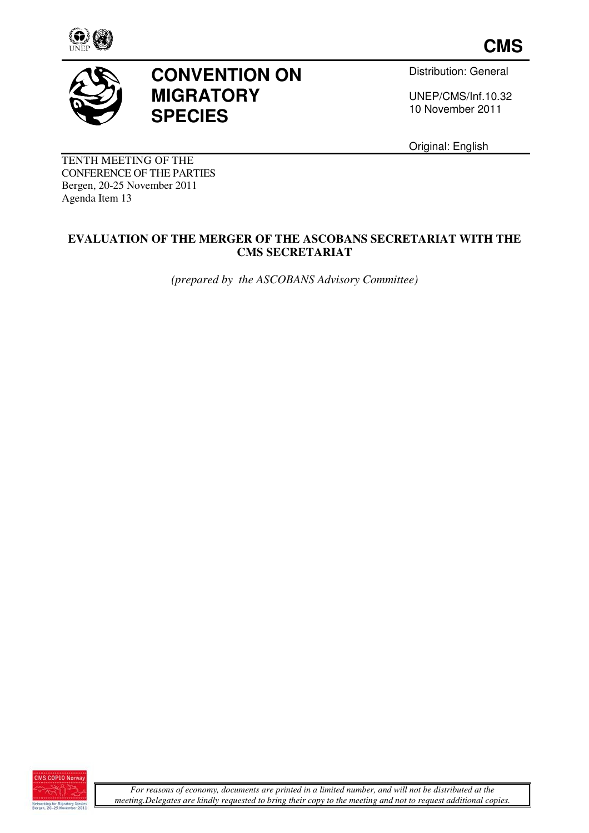



# **CONVENTION ON MIGRATORY SPECIES**

Distribution: General

UNEP/CMS/Inf.10.32 10 November 2011

Original: English

TENTH MEETING OF THE CONFERENCE OF THE PARTIES Bergen, 20-25 November 2011 Agenda Item 13

### **EVALUATION OF THE MERGER OF THE ASCOBANS SECRETARIAT WITH THE CMS SECRETARIAT**

*(prepared by the ASCOBANS Advisory Committee)* 

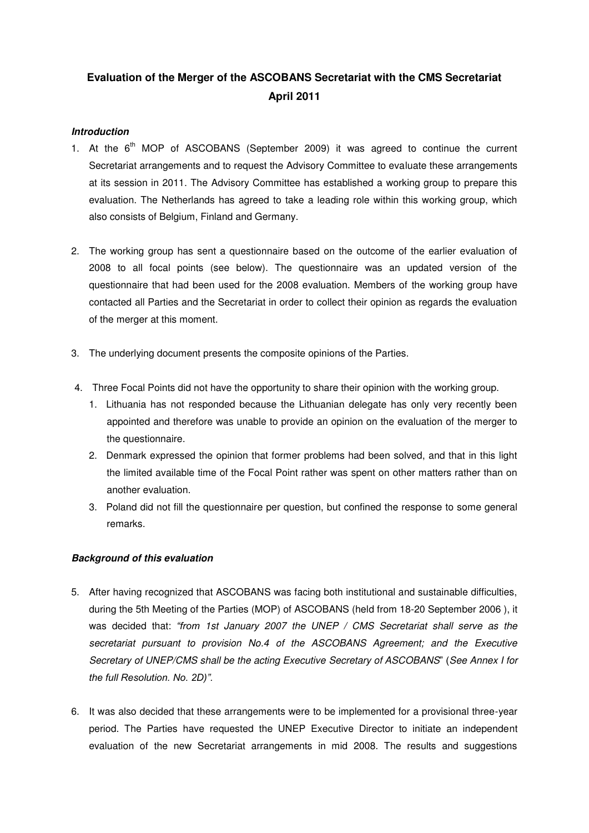## **Evaluation of the Merger of the ASCOBANS Secretariat with the CMS Secretariat April 2011**

#### **Introduction**

- 1. At the  $6<sup>th</sup>$  MOP of ASCOBANS (September 2009) it was agreed to continue the current Secretariat arrangements and to request the Advisory Committee to evaluate these arrangements at its session in 2011. The Advisory Committee has established a working group to prepare this evaluation. The Netherlands has agreed to take a leading role within this working group, which also consists of Belgium, Finland and Germany.
- 2. The working group has sent a questionnaire based on the outcome of the earlier evaluation of 2008 to all focal points (see below). The questionnaire was an updated version of the questionnaire that had been used for the 2008 evaluation. Members of the working group have contacted all Parties and the Secretariat in order to collect their opinion as regards the evaluation of the merger at this moment.
- 3. The underlying document presents the composite opinions of the Parties.
- 4. Three Focal Points did not have the opportunity to share their opinion with the working group.
	- 1. Lithuania has not responded because the Lithuanian delegate has only very recently been appointed and therefore was unable to provide an opinion on the evaluation of the merger to the questionnaire.
	- 2. Denmark expressed the opinion that former problems had been solved, and that in this light the limited available time of the Focal Point rather was spent on other matters rather than on another evaluation.
	- 3. Poland did not fill the questionnaire per question, but confined the response to some general remarks.

#### **Background of this evaluation**

- 5. After having recognized that ASCOBANS was facing both institutional and sustainable difficulties, during the 5th Meeting of the Parties (MOP) of ASCOBANS (held from 18-20 September 2006 ), it was decided that: "from 1st January 2007 the UNEP / CMS Secretariat shall serve as the secretariat pursuant to provision No.4 of the ASCOBANS Agreement; and the Executive Secretary of UNEP/CMS shall be the acting Executive Secretary of ASCOBANS" (See Annex I for *the full Resolution. No. 2D)".*
- 6. It was also decided that these arrangements were to be implemented for a provisional three-year period. The Parties have requested the UNEP Executive Director to initiate an independent evaluation of the new Secretariat arrangements in mid 2008. The results and suggestions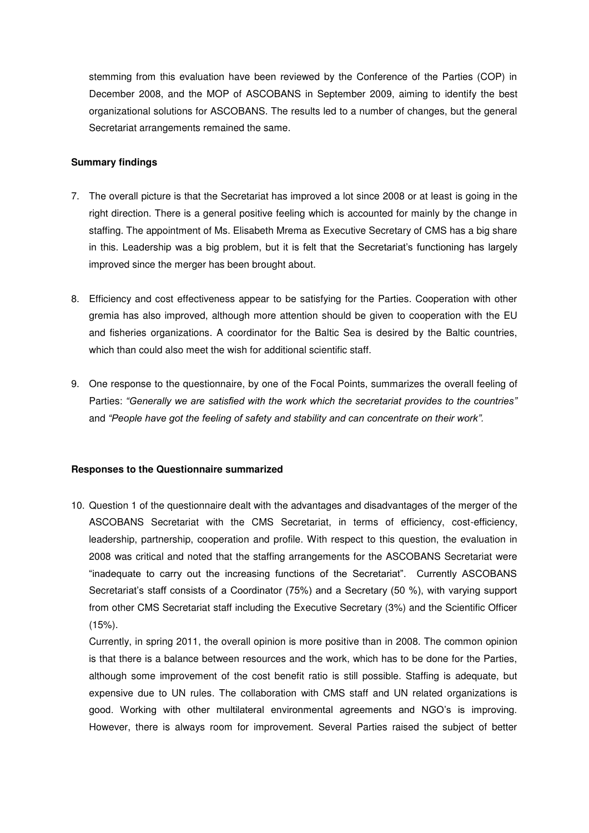stemming from this evaluation have been reviewed by the Conference of the Parties (COP) in December 2008, and the MOP of ASCOBANS in September 2009, aiming to identify the best organizational solutions for ASCOBANS. The results led to a number of changes, but the general Secretariat arrangements remained the same.

#### **Summary findings**

- 7. The overall picture is that the Secretariat has improved a lot since 2008 or at least is going in the right direction. There is a general positive feeling which is accounted for mainly by the change in staffing. The appointment of Ms. Elisabeth Mrema as Executive Secretary of CMS has a big share in this. Leadership was a big problem, but it is felt that the Secretariat's functioning has largely improved since the merger has been brought about.
- 8. Efficiency and cost effectiveness appear to be satisfying for the Parties. Cooperation with other gremia has also improved, although more attention should be given to cooperation with the EU and fisheries organizations. A coordinator for the Baltic Sea is desired by the Baltic countries, which than could also meet the wish for additional scientific staff.
- 9. One response to the questionnaire, by one of the Focal Points, summarizes the overall feeling of Parties: "Generally we are satisfied with the work which the secretariat provides to the countries" and "People have got the feeling of safety and stability and can concentrate on their work".

#### **Responses to the Questionnaire summarized**

10. Question 1 of the questionnaire dealt with the advantages and disadvantages of the merger of the ASCOBANS Secretariat with the CMS Secretariat, in terms of efficiency, cost-efficiency, leadership, partnership, cooperation and profile. With respect to this question, the evaluation in 2008 was critical and noted that the staffing arrangements for the ASCOBANS Secretariat were "inadequate to carry out the increasing functions of the Secretariat". Currently ASCOBANS Secretariat's staff consists of a Coordinator (75%) and a Secretary (50 %), with varying support from other CMS Secretariat staff including the Executive Secretary (3%) and the Scientific Officer (15%).

Currently, in spring 2011, the overall opinion is more positive than in 2008. The common opinion is that there is a balance between resources and the work, which has to be done for the Parties, although some improvement of the cost benefit ratio is still possible. Staffing is adequate, but expensive due to UN rules. The collaboration with CMS staff and UN related organizations is good. Working with other multilateral environmental agreements and NGO's is improving. However, there is always room for improvement. Several Parties raised the subject of better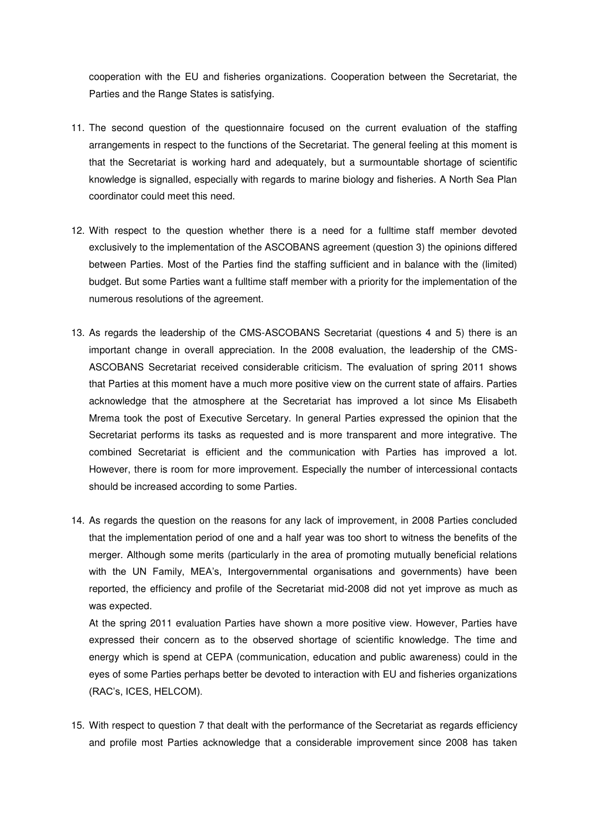cooperation with the EU and fisheries organizations. Cooperation between the Secretariat, the Parties and the Range States is satisfying.

- 11. The second question of the questionnaire focused on the current evaluation of the staffing arrangements in respect to the functions of the Secretariat. The general feeling at this moment is that the Secretariat is working hard and adequately, but a surmountable shortage of scientific knowledge is signalled, especially with regards to marine biology and fisheries. A North Sea Plan coordinator could meet this need.
- 12. With respect to the question whether there is a need for a fulltime staff member devoted exclusively to the implementation of the ASCOBANS agreement (question 3) the opinions differed between Parties. Most of the Parties find the staffing sufficient and in balance with the (limited) budget. But some Parties want a fulltime staff member with a priority for the implementation of the numerous resolutions of the agreement.
- 13. As regards the leadership of the CMS-ASCOBANS Secretariat (questions 4 and 5) there is an important change in overall appreciation. In the 2008 evaluation, the leadership of the CMS-ASCOBANS Secretariat received considerable criticism. The evaluation of spring 2011 shows that Parties at this moment have a much more positive view on the current state of affairs. Parties acknowledge that the atmosphere at the Secretariat has improved a lot since Ms Elisabeth Mrema took the post of Executive Sercetary. In general Parties expressed the opinion that the Secretariat performs its tasks as requested and is more transparent and more integrative. The combined Secretariat is efficient and the communication with Parties has improved a lot. However, there is room for more improvement. Especially the number of intercessional contacts should be increased according to some Parties.
- 14. As regards the question on the reasons for any lack of improvement, in 2008 Parties concluded that the implementation period of one and a half year was too short to witness the benefits of the merger. Although some merits (particularly in the area of promoting mutually beneficial relations with the UN Family, MEA's, Intergovernmental organisations and governments) have been reported, the efficiency and profile of the Secretariat mid-2008 did not yet improve as much as was expected.

At the spring 2011 evaluation Parties have shown a more positive view. However, Parties have expressed their concern as to the observed shortage of scientific knowledge. The time and energy which is spend at CEPA (communication, education and public awareness) could in the eyes of some Parties perhaps better be devoted to interaction with EU and fisheries organizations (RAC's, ICES, HELCOM).

15. With respect to question 7 that dealt with the performance of the Secretariat as regards efficiency and profile most Parties acknowledge that a considerable improvement since 2008 has taken